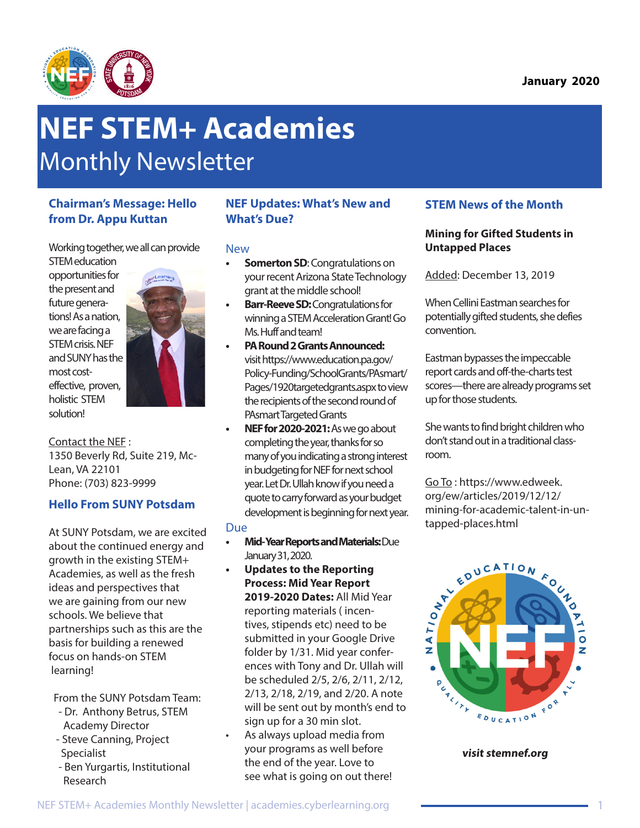

# **NEF STEM+ Academies**  Monthly Newsletter

## **Chairman's Message: Hello from Dr. Appu Kuttan**

Working together, we all can provide

STEM education opportunities for the present and future generations! As a nation, we are facing a STEM crisis. NEF and SUNY has the most costeffective, proven, holistic STEM solution!



Contact the NEF : 1350 Beverly Rd, Suite 219, Mc-Lean, VA 22101 Phone: (703) 823-9999

## **Hello From SUNY Potsdam**

At SUNY Potsdam, we are excited about the continued energy and growth in the existing STEM+ Academies, as well as the fresh ideas and perspectives that we are gaining from our new schools. We believe that partnerships such as this are the basis for building a renewed focus on hands-on STEM learning!

From the SUNY Potsdam Team:

- Dr. Anthony Betrus, STEM Academy Director
- Steve Canning, Project Specialist
- Ben Yurgartis, Institutional Research

## **NEF Updates: What's New and What's Due?**

## New

- **• Somerton SD**: Congratulations on your recent Arizona State Technology grant at the middle school!
- **• Barr-Reeve SD:** Congratulations for winning a STEM Acceleration Grant! Go Ms. Huff and team!
- **• PA Round 2 Grants Announced:**  visit https://www.education.pa.gov/ Policy-Funding/SchoolGrants/PAsmart/ Pages/1920targetedgrants.aspx to view the recipients of the second round of PAsmart Targeted Grants
- **• NEF for 2020-2021:** As we go about completing the year, thanks for so many of you indicating a strong interest in budgeting for NEF for next school year. Let Dr. Ullah know if you need a quote to carry forward as your budget development is beginning for next year.

#### Due

- **• Mid- Year Reports and Materials:** Due January 31, 2020.
- **• Updates to the Reporting Process: Mid Year Report 2019-2020 Dates:** All Mid Year reporting materials ( incentives, stipends etc) need to be submitted in your Google Drive folder by 1/31. Mid year conferences with Tony and Dr. Ullah will be scheduled 2/5, 2/6, 2/11, 2/12, 2/13, 2/18, 2/19, and 2/20. A note will be sent out by month's end to sign up for a 30 min slot.
- As always upload media from your programs as well before the end of the year. Love to see what is going on out there!

## **STEM News of the Month**

## **Mining for Gifted Students in Untapped Places**

Added: December 13, 2019

When Cellini Eastman searches for potentially gifted students, she defies convention.

Eastman bypasses the impeccable report cards and off-the-charts test scores—there are already programs set up for those students.

She wants to find bright children who don't stand out in a traditional classroom.

Go To : https://www.edweek. org/ew/articles/2019/12/12/ mining-for-academic-talent-in-untapped-places.html



**visit stemnef.org**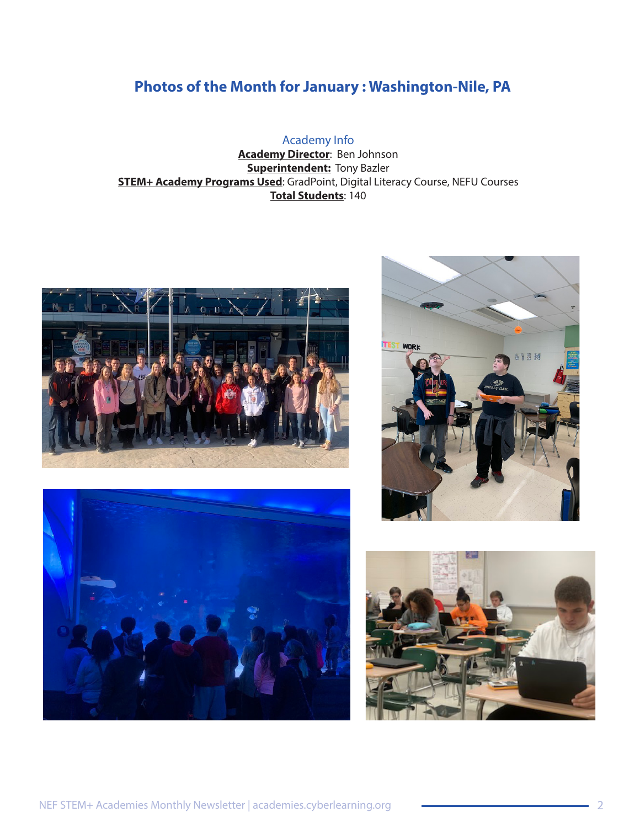# **Photos of the Month for January : Washington-Nile, PA**

## Academy Info

**Academy Director**: Ben Johnson **Superintendent:** Tony Bazler **STEM+ Academy Programs Used**: GradPoint, Digital Literacy Course, NEFU Courses **Total Students**: 140